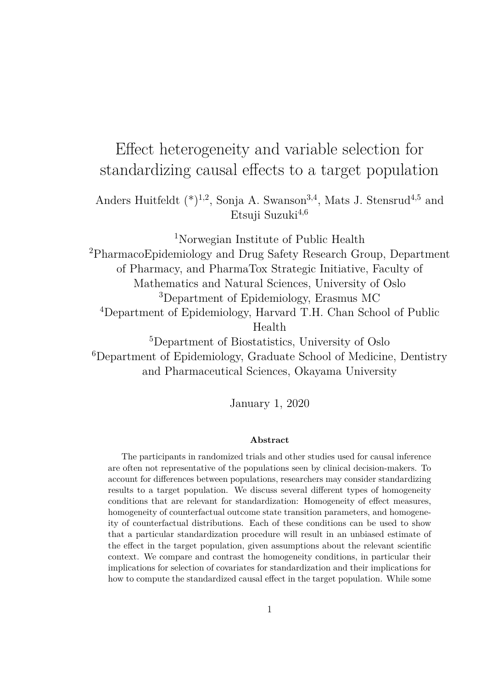# Effect heterogeneity and variable selection for standardizing causal effects to a target population

Anders Huitfeldt  $(*)^{1,2}$ , Sonja A. Swanson<sup>3,4</sup>, Mats J. Stensrud<sup>4,5</sup> and Etsuji Suzuki $^{4,6}$ 

<sup>1</sup>Norwegian Institute of Public Health

<sup>2</sup>PharmacoEpidemiology and Drug Safety Research Group, Department of Pharmacy, and PharmaTox Strategic Initiative, Faculty of Mathematics and Natural Sciences, University of Oslo <sup>3</sup>Department of Epidemiology, Erasmus MC <sup>4</sup>Department of Epidemiology, Harvard T.H. Chan School of Public Health <sup>5</sup>Department of Biostatistics, University of Oslo

<sup>6</sup>Department of Epidemiology, Graduate School of Medicine, Dentistry and Pharmaceutical Sciences, Okayama University

January 1, 2020

#### **Abstract**

The participants in randomized trials and other studies used for causal inference are often not representative of the populations seen by clinical decision-makers. To account for differences between populations, researchers may consider standardizing results to a target population. We discuss several different types of homogeneity conditions that are relevant for standardization: Homogeneity of effect measures, homogeneity of counterfactual outcome state transition parameters, and homogeneity of counterfactual distributions. Each of these conditions can be used to show that a particular standardization procedure will result in an unbiased estimate of the effect in the target population, given assumptions about the relevant scientific context. We compare and contrast the homogeneity conditions, in particular their implications for selection of covariates for standardization and their implications for how to compute the standardized causal effect in the target population. While some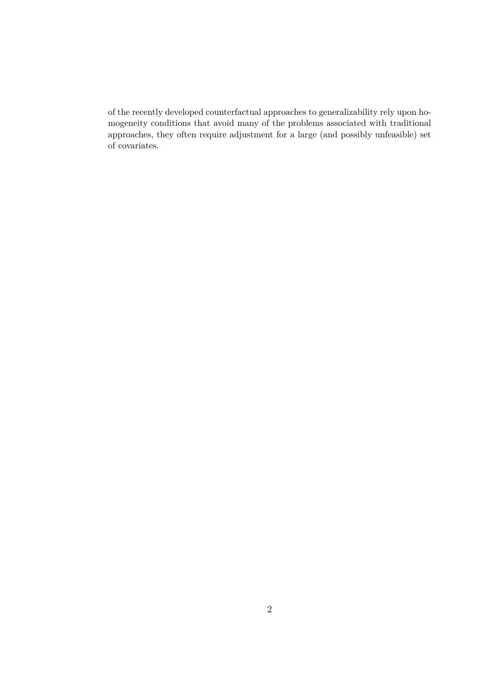of the recently developed counterfactual approaches to generalizability rely upon homogeneity conditions that avoid many of the problems associated with traditional approaches, they often require adjustment for a large (and possibly unfeasible) set of covariates.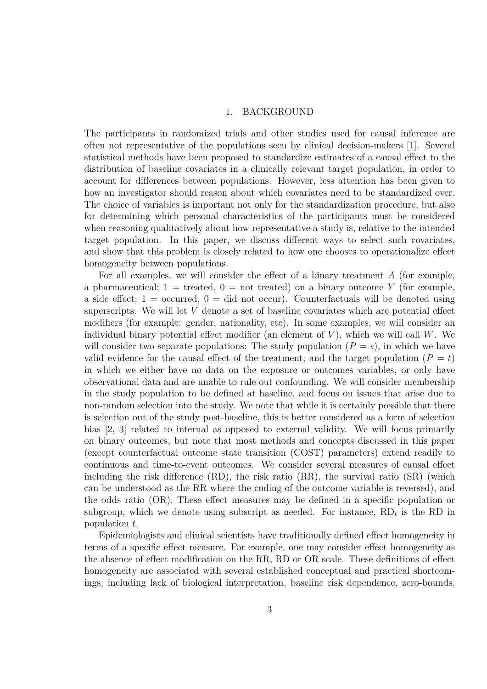#### 1. BACKGROUND

The participants in randomized trials and other studies used for causal inference are often not representative of the populations seen by clinical decision-makers [1]. Several statistical methods have been proposed to standardize estimates of a causal effect to the distribution of baseline covariates in a clinically relevant target population, in order to account for differences between populations. However, less attention has been given to how an investigator should reason about which covariates need to be standardized over. The choice of variables is important not only for the standardization procedure, but also for determining which personal characteristics of the participants must be considered when reasoning qualitatively about how representative a study is, relative to the intended target population. In this paper, we discuss different ways to select such covariates, and show that this problem is closely related to how one chooses to operationalize effect homogeneity between populations.

For all examples, we will consider the effect of a binary treatment *A* (for example, a pharmaceutical;  $1 =$  treated,  $0 =$  not treated) on a binary outcome *Y* (for example, a side effect;  $1 =$  occurred,  $0 =$  did not occur). Counterfactuals will be denoted using superscripts. We will let *V* denote a set of baseline covariates which are potential effect modifiers (for example: gender, nationality, etc). In some examples, we will consider an individual binary potential effect modifier (an element of  $V$ ), which we will call  $W$ . We will consider two separate populations: The study population  $(P = s)$ , in which we have valid evidence for the causal effect of the treatment; and the target population  $(P = t)$ in which we either have no data on the exposure or outcomes variables, or only have observational data and are unable to rule out confounding. We will consider membership in the study population to be defined at baseline, and focus on issues that arise due to non-random selection into the study. We note that while it is certainly possible that there is selection out of the study post-baseline, this is better considered as a form of selection bias [2, 3] related to internal as opposed to external validity. We will focus primarily on binary outcomes, but note that most methods and concepts discussed in this paper (except counterfactual outcome state transition (COST) parameters) extend readily to continuous and time-to-event outcomes. We consider several measures of causal effect including the risk difference (RD), the risk ratio (RR), the survival ratio (SR) (which can be understood as the RR where the coding of the outcome variable is reversed), and the odds ratio (OR). These effect measures may be defined in a specific population or subgroup, which we denote using subscript as needed. For instance,  $RD_t$  is the RD in population *t*.

Epidemiologists and clinical scientists have traditionally defined effect homogeneity in terms of a specific effect measure. For example, one may consider effect homogeneity as the absence of effect modification on the RR, RD or OR scale. These definitions of effect homogeneity are associated with several established conceptual and practical shortcomings, including lack of biological interpretation, baseline risk dependence, zero-bounds,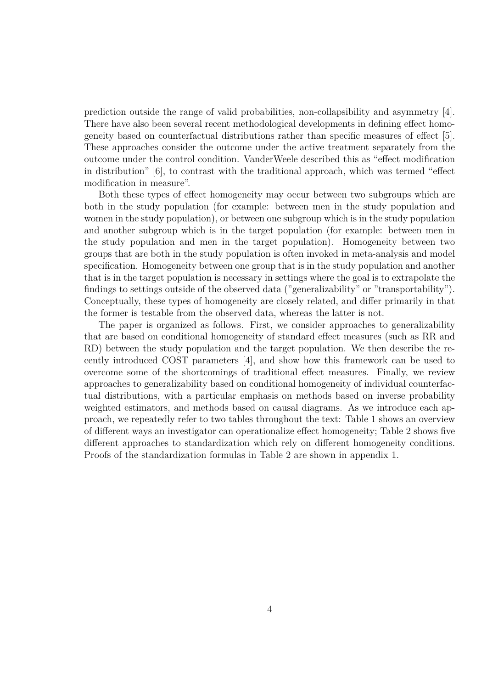prediction outside the range of valid probabilities, non-collapsibility and asymmetry [4]. There have also been several recent methodological developments in defining effect homogeneity based on counterfactual distributions rather than specific measures of effect [5]. These approaches consider the outcome under the active treatment separately from the outcome under the control condition. VanderWeele described this as "effect modification in distribution" [6], to contrast with the traditional approach, which was termed "effect modification in measure".

Both these types of effect homogeneity may occur between two subgroups which are both in the study population (for example: between men in the study population and women in the study population), or between one subgroup which is in the study population and another subgroup which is in the target population (for example: between men in the study population and men in the target population). Homogeneity between two groups that are both in the study population is often invoked in meta-analysis and model specification. Homogeneity between one group that is in the study population and another that is in the target population is necessary in settings where the goal is to extrapolate the findings to settings outside of the observed data ("generalizability" or "transportability"). Conceptually, these types of homogeneity are closely related, and differ primarily in that the former is testable from the observed data, whereas the latter is not.

The paper is organized as follows. First, we consider approaches to generalizability that are based on conditional homogeneity of standard effect measures (such as RR and RD) between the study population and the target population. We then describe the recently introduced COST parameters [4], and show how this framework can be used to overcome some of the shortcomings of traditional effect measures. Finally, we review approaches to generalizability based on conditional homogeneity of individual counterfactual distributions, with a particular emphasis on methods based on inverse probability weighted estimators, and methods based on causal diagrams. As we introduce each approach, we repeatedly refer to two tables throughout the text: Table 1 shows an overview of different ways an investigator can operationalize effect homogeneity; Table 2 shows five different approaches to standardization which rely on different homogeneity conditions. Proofs of the standardization formulas in Table 2 are shown in appendix 1.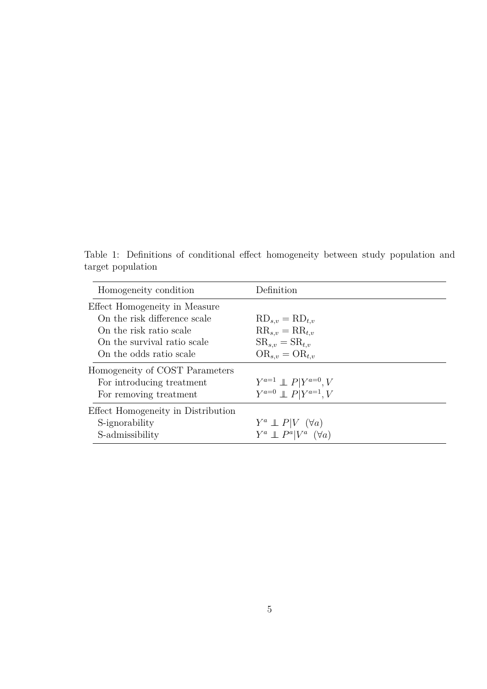Table 1: Definitions of conditional effect homogeneity between study population and target population

| Definition                                                 |
|------------------------------------------------------------|
|                                                            |
| $RD_{s,v} = RD_{t,v}$                                      |
| $RR_{s,v} = RR_{t,v}$                                      |
| $SR_{s,v} = SR_{t,v}$                                      |
| $OR_{s,v} = OR_{t,v}$                                      |
|                                                            |
| $Y^{a=1} \perp\!\!\!\perp P   Y^{a=0}, V$                  |
| $Y^{a=0} \perp\!\!\!\perp P   Y^{a=1}, V$                  |
|                                                            |
| $Y^a \perp\!\!\!\perp P V \quad (\forall a)$               |
| $Y^a \perp\!\!\!\perp P^a   V^a \rangle \langle \forall a$ |
|                                                            |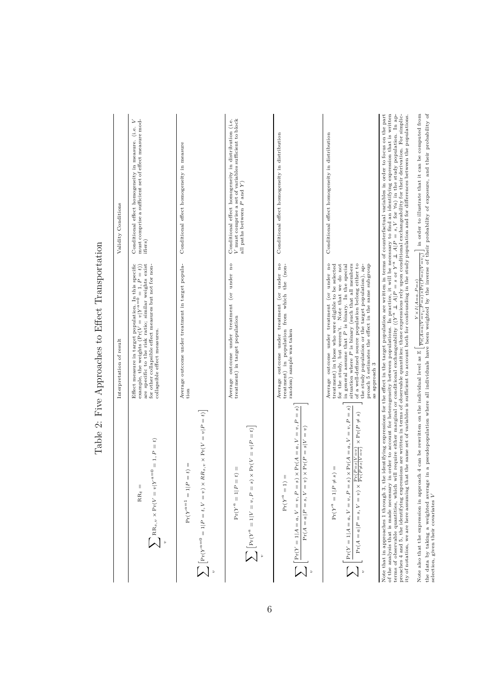|                                                                                                                                                                                                                                                                                                                                                                                                                                                                                                                                                                                                                                                                          | Interpretation of result                                                                                                                                                                                                                                                                                                                                                                                                                                       | Validity Conditions                                                                                                                               |
|--------------------------------------------------------------------------------------------------------------------------------------------------------------------------------------------------------------------------------------------------------------------------------------------------------------------------------------------------------------------------------------------------------------------------------------------------------------------------------------------------------------------------------------------------------------------------------------------------------------------------------------------------------------------------|----------------------------------------------------------------------------------------------------------------------------------------------------------------------------------------------------------------------------------------------------------------------------------------------------------------------------------------------------------------------------------------------------------------------------------------------------------------|---------------------------------------------------------------------------------------------------------------------------------------------------|
| $= 1, P = t$<br>$\sum \mathrm{RR}_{s,v} \times \mathrm{Pr}(V=v Y^{a=0}$<br>$\parallel$<br>$_{\rm RR_t}$                                                                                                                                                                                                                                                                                                                                                                                                                                                                                                                                                                  | Effect measure in target population. In this specific<br>are specific to the risk ratio; similar weights exist<br>example, the weights ( $Pr(V = v   Y^{a=0} = 1, P = t)$ )<br>for other collapsible effect measures but not for non-<br>collapsible effect measures.                                                                                                                                                                                          | must comprise a sufficient set of effect measure mod-<br>Conditional effect homogeneity in measure. (i.e. V<br>ifiers)                            |
| $\sum \left[ \Pr(Y^{a=0} = 1   P = t, V = v) \times RR_{s, v} \times \Pr(V = v   P = t) \right]$<br>$t) =$<br>$= 1 P =$<br>$\Pr(Y^{a=1}$                                                                                                                                                                                                                                                                                                                                                                                                                                                                                                                                 | Average outcome under treatment in target popula-<br>tion                                                                                                                                                                                                                                                                                                                                                                                                      | Conditional effect homogeneity in measure                                                                                                         |
| $Pr(V = v P = t)$<br>$\mid \mid$<br>$Pr(Y^{\alpha} = 1   P = t)$<br>$\sum \left[\Pr(Y^a = 1   V = v, P = s) \times$                                                                                                                                                                                                                                                                                                                                                                                                                                                                                                                                                      | Average outcome under treatment (or under no<br>treatment) in target population                                                                                                                                                                                                                                                                                                                                                                                | V must comprise a set of variables sufficient to block<br>Conditional effect homogeneity in distribution (i.e.<br>all paths between $P$ and $Y$ ) |
| $\sum_{i} \left[ \frac{\Pr(Y = 1   A = a, V = v, P = s) \times \Pr(A = a, V = v, P = s)}{\Pr(A - a) - \Pr(A - s)} \right]$<br>$Pr(Y^a = 1) =$                                                                                                                                                                                                                                                                                                                                                                                                                                                                                                                            | Average outcome under treatment (or under no<br>treatment) in population from which the (non-<br>random) sample was taken                                                                                                                                                                                                                                                                                                                                      | Conditional effect homogeneity in distribution                                                                                                    |
| $\widehat{s}$<br>$\lvert \rvert$<br>$\widehat{\mathcal{S}}$<br>$\frac{P = s\, V = v)}{P \neq s\, V = v)} \, \times \, \Pr(P \neq$<br>$= v, P$<br>$\times$ Pr(A = a, $V$<br>$\mid \mid$<br>$Pr(Y^a = 1   P \neq s)$<br>$Pr(A = a P = s, V = v) \times \frac{Pr(S)}{Pr(S)}$<br>$\sum \left( \begin{array}{c c} \Pr(Y=1 A=a,V=v,P=s) & \multicolumn{3}{c }{\operatorname{Pr}}(A=a,D=-v, & \multicolumn{3}{c }{\operatorname{Pr}}(A=c,D=-v, & \multicolumn{3}{c }{\operatorname{Pr}}(A=c,D=-v, & \multicolumn{3}{c }{\operatorname{Pr}}(A=c,D=-v, & \multicolumn{3}{c }{\operatorname{Pr}}(A=c,D=-v, & \multicolumn{3}{c }{\operatorname{Pr}}(A=c,D)=0. \end{array} \right)$ | situation where $P$ is binary (such that all members<br>of a well-defined source population belong either to<br>Average outcome under treatment (or under no<br>Note that we do not<br>proach 5 estimates the effect in the same subgroup<br>treatment) in those who were eligible to be selected<br>in general assume that P is binary. In the special<br>the study population or the target population), ap-<br>for the study, but weren't.<br>as approach 3 | Conditional effect homogeneity in distribution                                                                                                    |
| of the analysis that is made necessary in order to account for heterogeneity between populations. In practice, it will be necessary to find an identifying expression that is written<br>terms of observable quantities, which w<br>proaches 4 and 5, the identifying expressions are written in terms of observable quantities; these expressions rely upon conditional exchangeability for their derivation. For simplic-<br>Note that in approaches 1 through 3, the<br>ity of notation, we are here assuming that                                                                                                                                                    | identifying expressions for the effect in the target population are written in terms of counterfactual variables in order to focus on the part<br>the same set of variables is sufficient to account both for confounding in the study population and for differences between the populations.                                                                                                                                                                 |                                                                                                                                                   |

Table 2: Five Approaches to Effect Transportation Table 2: Five Approaches to Effect Transportation

Note also that the expression in approach 4 can be rewritten on the individual level as E  $\left[\frac{\Pr(A=a|V=s)}{\Pr(A=a|V=s)\times\Pr(B=s)}\right]$  in order to illustrate that it can be computed from<br>the data by taking a weighted average in a pseu  $\left[\frac{Y \times I(A=a, P=s)}{P(a,a|V=v_i, P=s) \times Pr(P=s|V=v_i)}\right]$  in order to illustrate that it can be computed from the data by taking a weighted average in a pseudopopulation where all individuals have been weighted by the inverse of their probability of exposure, and their probability of Note also that the expression in approach 4 can be rewritten on the individual level as  $\mathbb{E}\left[ \cdot \right]$ selection, given their covariates *V*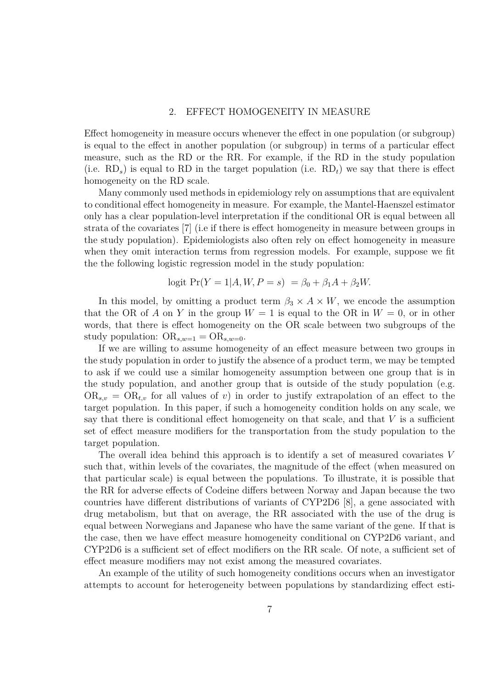# 2. EFFECT HOMOGENEITY IN MEASURE

Effect homogeneity in measure occurs whenever the effect in one population (or subgroup) is equal to the effect in another population (or subgroup) in terms of a particular effect measure, such as the RD or the RR. For example, if the RD in the study population (i.e.  $RD_s$ ) is equal to RD in the target population (i.e.  $RD_t$ ) we say that there is effect homogeneity on the RD scale.

Many commonly used methods in epidemiology rely on assumptions that are equivalent to conditional effect homogeneity in measure. For example, the Mantel-Haenszel estimator only has a clear population-level interpretation if the conditional OR is equal between all strata of the covariates [7] (i.e if there is effect homogeneity in measure between groups in the study population). Epidemiologists also often rely on effect homogeneity in measure when they omit interaction terms from regression models. For example, suppose we fit the the following logistic regression model in the study population:

logit 
$$
Pr(Y = 1|A, W, P = s) = \beta_0 + \beta_1 A + \beta_2 W
$$
.

In this model, by omitting a product term  $\beta_3 \times A \times W$ , we encode the assumption that the OR of *A* on *Y* in the group  $W = 1$  is equal to the OR in  $W = 0$ , or in other words, that there is effect homogeneity on the OR scale between two subgroups of the study population:  $OR_{s,w=1} = OR_{s,w=0}$ .

If we are willing to assume homogeneity of an effect measure between two groups in the study population in order to justify the absence of a product term, we may be tempted to ask if we could use a similar homogeneity assumption between one group that is in the study population, and another group that is outside of the study population (e.g.  $OR_{s,v} = OR_{t,v}$  for all values of *v*) in order to justify extrapolation of an effect to the target population. In this paper, if such a homogeneity condition holds on any scale, we say that there is conditional effect homogeneity on that scale, and that *V* is a sufficient set of effect measure modifiers for the transportation from the study population to the target population.

The overall idea behind this approach is to identify a set of measured covariates *V* such that, within levels of the covariates, the magnitude of the effect (when measured on that particular scale) is equal between the populations. To illustrate, it is possible that the RR for adverse effects of Codeine differs between Norway and Japan because the two countries have different distributions of variants of CYP2D6 [8], a gene associated with drug metabolism, but that on average, the RR associated with the use of the drug is equal between Norwegians and Japanese who have the same variant of the gene. If that is the case, then we have effect measure homogeneity conditional on CYP2D6 variant, and CYP2D6 is a sufficient set of effect modifiers on the RR scale. Of note, a sufficient set of effect measure modifiers may not exist among the measured covariates.

An example of the utility of such homogeneity conditions occurs when an investigator attempts to account for heterogeneity between populations by standardizing effect esti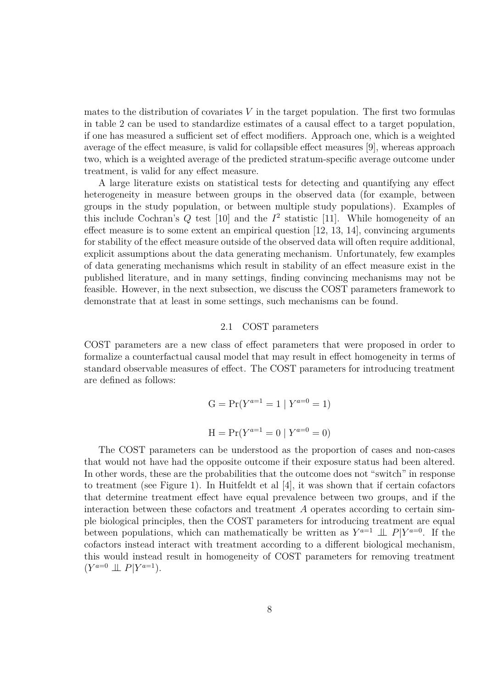mates to the distribution of covariates *V* in the target population. The first two formulas in table 2 can be used to standardize estimates of a causal effect to a target population, if one has measured a sufficient set of effect modifiers. Approach one, which is a weighted average of the effect measure, is valid for collapsible effect measures [9], whereas approach two, which is a weighted average of the predicted stratum-specific average outcome under treatment, is valid for any effect measure.

A large literature exists on statistical tests for detecting and quantifying any effect heterogeneity in measure between groups in the observed data (for example, between groups in the study population, or between multiple study populations). Examples of this include Cochran's  $Q$  test [10] and the  $I^2$  statistic [11]. While homogeneity of an effect measure is to some extent an empirical question [12, 13, 14], convincing arguments for stability of the effect measure outside of the observed data will often require additional, explicit assumptions about the data generating mechanism. Unfortunately, few examples of data generating mechanisms which result in stability of an effect measure exist in the published literature, and in many settings, finding convincing mechanisms may not be feasible. However, in the next subsection, we discuss the COST parameters framework to demonstrate that at least in some settings, such mechanisms can be found.

#### 2.1 COST parameters

COST parameters are a new class of effect parameters that were proposed in order to formalize a counterfactual causal model that may result in effect homogeneity in terms of standard observable measures of effect. The COST parameters for introducing treatment are defined as follows:

$$
G = Pr(Y^{a=1} = 1 | Y^{a=0} = 1)
$$

$$
H = Pr(Y^{a=1} = 0 | Y^{a=0} = 0)
$$

The COST parameters can be understood as the proportion of cases and non-cases that would not have had the opposite outcome if their exposure status had been altered. In other words, these are the probabilities that the outcome does not "switch" in response to treatment (see Figure 1). In Huitfeldt et al [4], it was shown that if certain cofactors that determine treatment effect have equal prevalence between two groups, and if the interaction between these cofactors and treatment *A* operates according to certain simple biological principles, then the COST parameters for introducing treatment are equal between populations, which can mathematically be written as  $Y^{a=1} \perp \!\!\!\perp P | Y^{a=0}$ . If the cofactors instead interact with treatment according to a different biological mechanism, this would instead result in homogeneity of COST parameters for removing treatment  $(Y^{a=0} \perp \!\!\! \perp P | Y^{a=1}).$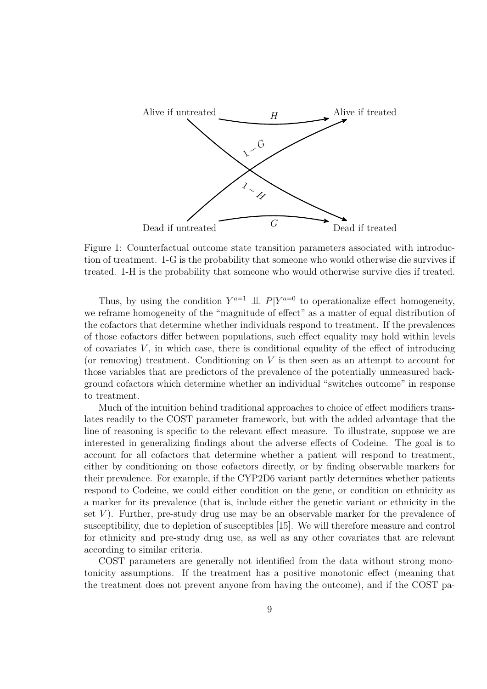

Figure 1: Counterfactual outcome state transition parameters associated with introduction of treatment. 1-G is the probability that someone who would otherwise die survives if treated. 1-H is the probability that someone who would otherwise survive dies if treated.

Thus, by using the condition  $Y^{a=1} \perp \!\!\!\perp P | Y^{a=0}$  to operationalize effect homogeneity, we reframe homogeneity of the "magnitude of effect" as a matter of equal distribution of the cofactors that determine whether individuals respond to treatment. If the prevalences of those cofactors differ between populations, such effect equality may hold within levels of covariates *V* , in which case, there is conditional equality of the effect of introducing (or removing) treatment. Conditioning on *V* is then seen as an attempt to account for those variables that are predictors of the prevalence of the potentially unmeasured background cofactors which determine whether an individual "switches outcome" in response to treatment.

Much of the intuition behind traditional approaches to choice of effect modifiers translates readily to the COST parameter framework, but with the added advantage that the line of reasoning is specific to the relevant effect measure. To illustrate, suppose we are interested in generalizing findings about the adverse effects of Codeine. The goal is to account for all cofactors that determine whether a patient will respond to treatment, either by conditioning on those cofactors directly, or by finding observable markers for their prevalence. For example, if the CYP2D6 variant partly determines whether patients respond to Codeine, we could either condition on the gene, or condition on ethnicity as a marker for its prevalence (that is, include either the genetic variant or ethnicity in the set *V* ). Further, pre-study drug use may be an observable marker for the prevalence of susceptibility, due to depletion of susceptibles [15]. We will therefore measure and control for ethnicity and pre-study drug use, as well as any other covariates that are relevant according to similar criteria.

COST parameters are generally not identified from the data without strong monotonicity assumptions. If the treatment has a positive monotonic effect (meaning that the treatment does not prevent anyone from having the outcome), and if the COST pa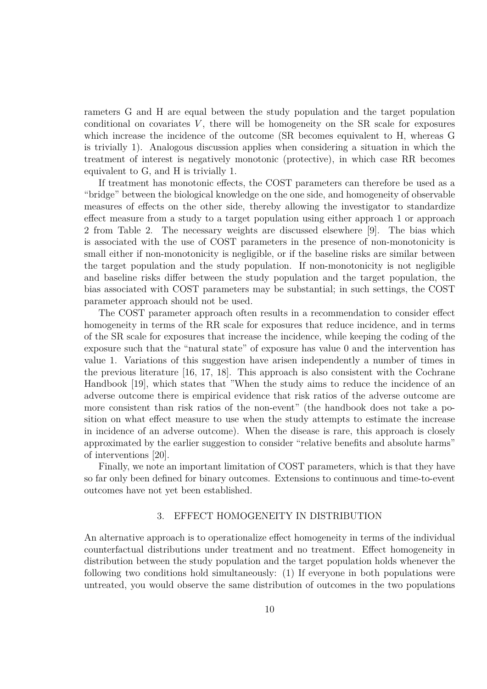rameters G and H are equal between the study population and the target population conditional on covariates *V* , there will be homogeneity on the SR scale for exposures which increase the incidence of the outcome (SR becomes equivalent to H, whereas G is trivially 1). Analogous discussion applies when considering a situation in which the treatment of interest is negatively monotonic (protective), in which case RR becomes equivalent to G, and H is trivially 1.

If treatment has monotonic effects, the COST parameters can therefore be used as a "bridge" between the biological knowledge on the one side, and homogeneity of observable measures of effects on the other side, thereby allowing the investigator to standardize effect measure from a study to a target population using either approach 1 or approach 2 from Table 2. The necessary weights are discussed elsewhere [9]. The bias which is associated with the use of COST parameters in the presence of non-monotonicity is small either if non-monotonicity is negligible, or if the baseline risks are similar between the target population and the study population. If non-monotonicity is not negligible and baseline risks differ between the study population and the target population, the bias associated with COST parameters may be substantial; in such settings, the COST parameter approach should not be used.

The COST parameter approach often results in a recommendation to consider effect homogeneity in terms of the RR scale for exposures that reduce incidence, and in terms of the SR scale for exposures that increase the incidence, while keeping the coding of the exposure such that the "natural state" of exposure has value 0 and the intervention has value 1. Variations of this suggestion have arisen independently a number of times in the previous literature [16, 17, 18]. This approach is also consistent with the Cochrane Handbook [19], which states that "When the study aims to reduce the incidence of an adverse outcome there is empirical evidence that risk ratios of the adverse outcome are more consistent than risk ratios of the non-event" (the handbook does not take a position on what effect measure to use when the study attempts to estimate the increase in incidence of an adverse outcome). When the disease is rare, this approach is closely approximated by the earlier suggestion to consider "relative benefits and absolute harms" of interventions [20].

Finally, we note an important limitation of COST parameters, which is that they have so far only been defined for binary outcomes. Extensions to continuous and time-to-event outcomes have not yet been established.

# 3. EFFECT HOMOGENEITY IN DISTRIBUTION

An alternative approach is to operationalize effect homogeneity in terms of the individual counterfactual distributions under treatment and no treatment. Effect homogeneity in distribution between the study population and the target population holds whenever the following two conditions hold simultaneously: (1) If everyone in both populations were untreated, you would observe the same distribution of outcomes in the two populations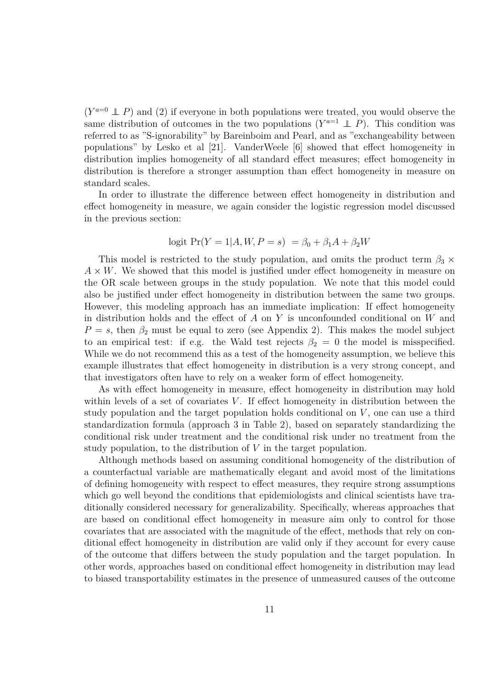$(Y^{a=0} \perp P)$  and (2) if everyone in both populations were treated, you would observe the same distribution of outcomes in the two populations  $(Y^{a=1} \perp P)$ . This condition was referred to as "S-ignorability" by Bareinboim and Pearl, and as "exchangeability between populations" by Lesko et al [21]. VanderWeele [6] showed that effect homogeneity in distribution implies homogeneity of all standard effect measures; effect homogeneity in distribution is therefore a stronger assumption than effect homogeneity in measure on standard scales.

In order to illustrate the difference between effect homogeneity in distribution and effect homogeneity in measure, we again consider the logistic regression model discussed in the previous section:

$$
logit \Pr(Y = 1 | A, W, P = s) = \beta_0 + \beta_1 A + \beta_2 W
$$

This model is restricted to the study population, and omits the product term  $\beta_3 \times$  $A \times W$ . We showed that this model is justified under effect homogeneity in measure on the OR scale between groups in the study population. We note that this model could also be justified under effect homogeneity in distribution between the same two groups. However, this modeling approach has an immediate implication: If effect homogeneity in distribution holds and the effect of *A* on *Y* is unconfounded conditional on *W* and  $P = s$ , then  $\beta_2$  must be equal to zero (see Appendix 2). This makes the model subject to an empirical test: if e.g. the Wald test rejects  $\beta_2 = 0$  the model is misspecified. While we do not recommend this as a test of the homogeneity assumption, we believe this example illustrates that effect homogeneity in distribution is a very strong concept, and that investigators often have to rely on a weaker form of effect homogeneity.

As with effect homogeneity in measure, effect homogeneity in distribution may hold within levels of a set of covariates *V*. If effect homogeneity in distribution between the study population and the target population holds conditional on *V* , one can use a third standardization formula (approach 3 in Table 2), based on separately standardizing the conditional risk under treatment and the conditional risk under no treatment from the study population, to the distribution of *V* in the target population.

Although methods based on assuming conditional homogeneity of the distribution of a counterfactual variable are mathematically elegant and avoid most of the limitations of defining homogeneity with respect to effect measures, they require strong assumptions which go well beyond the conditions that epidemiologists and clinical scientists have traditionally considered necessary for generalizability. Specifically, whereas approaches that are based on conditional effect homogeneity in measure aim only to control for those covariates that are associated with the magnitude of the effect, methods that rely on conditional effect homogeneity in distribution are valid only if they account for every cause of the outcome that differs between the study population and the target population. In other words, approaches based on conditional effect homogeneity in distribution may lead to biased transportability estimates in the presence of unmeasured causes of the outcome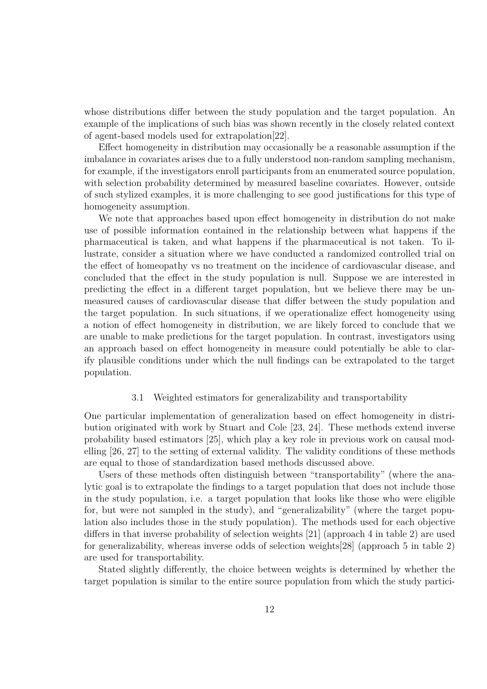whose distributions differ between the study population and the target population. An example of the implications of such bias was shown recently in the closely related context of agent-based models used for extrapolation[22].

Effect homogeneity in distribution may occasionally be a reasonable assumption if the imbalance in covariates arises due to a fully understood non-random sampling mechanism, for example, if the investigators enroll participants from an enumerated source population, with selection probability determined by measured baseline covariates. However, outside of such stylized examples, it is more challenging to see good justifications for this type of homogeneity assumption.

We note that approaches based upon effect homogeneity in distribution do not make use of possible information contained in the relationship between what happens if the pharmaceutical is taken, and what happens if the pharmaceutical is not taken. To illustrate, consider a situation where we have conducted a randomized controlled trial on the effect of homeopathy vs no treatment on the incidence of cardiovascular disease, and concluded that the effect in the study population is null. Suppose we are interested in predicting the effect in a different target population, but we believe there may be unmeasured causes of cardiovascular disease that differ between the study population and the target population. In such situations, if we operationalize effect homogeneity using a notion of effect homogeneity in distribution, we are likely forced to conclude that we are unable to make predictions for the target population. In contrast, investigators using an approach based on effect homogeneity in measure could potentially be able to clarify plausible conditions under which the null findings can be extrapolated to the target population.

# 3.1 Weighted estimators for generalizability and transportability

One particular implementation of generalization based on effect homogeneity in distribution originated with work by Stuart and Cole [23, 24]. These methods extend inverse probability based estimators [25], which play a key role in previous work on causal modelling [26, 27] to the setting of external validity. The validity conditions of these methods are equal to those of standardization based methods discussed above.

Users of these methods often distinguish between "transportability" (where the analytic goal is to extrapolate the findings to a target population that does not include those in the study population, i.e. a target population that looks like those who were eligible for, but were not sampled in the study), and "generalizability" (where the target population also includes those in the study population). The methods used for each objective differs in that inverse probability of selection weights [21] (approach 4 in table 2) are used for generalizability, whereas inverse odds of selection weights[28] (approach 5 in table 2) are used for transportability.

Stated slightly differently, the choice between weights is determined by whether the target population is similar to the entire source population from which the study partici-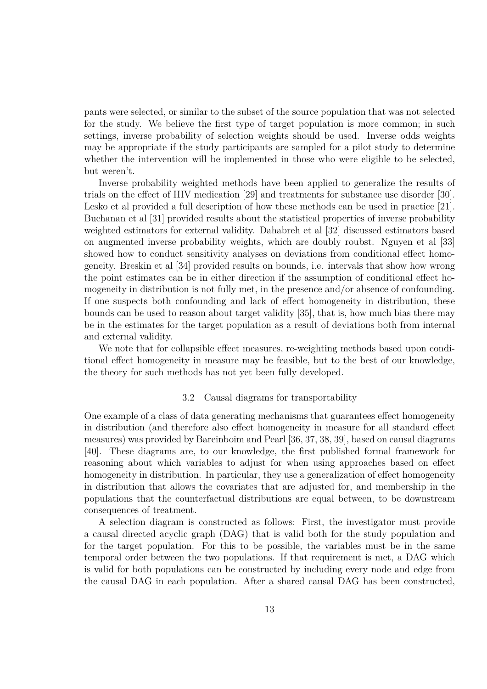pants were selected, or similar to the subset of the source population that was not selected for the study. We believe the first type of target population is more common; in such settings, inverse probability of selection weights should be used. Inverse odds weights may be appropriate if the study participants are sampled for a pilot study to determine whether the intervention will be implemented in those who were eligible to be selected, but weren't.

Inverse probability weighted methods have been applied to generalize the results of trials on the effect of HIV medication [29] and treatments for substance use disorder [30]. Lesko et al provided a full description of how these methods can be used in practice [21]. Buchanan et al [31] provided results about the statistical properties of inverse probability weighted estimators for external validity. Dahabreh et al [32] discussed estimators based on augmented inverse probability weights, which are doubly roubst. Nguyen et al [33] showed how to conduct sensitivity analyses on deviations from conditional effect homogeneity. Breskin et al [34] provided results on bounds, i.e. intervals that show how wrong the point estimates can be in either direction if the assumption of conditional effect homogeneity in distribution is not fully met, in the presence and/or absence of confounding. If one suspects both confounding and lack of effect homogeneity in distribution, these bounds can be used to reason about target validity [35], that is, how much bias there may be in the estimates for the target population as a result of deviations both from internal and external validity.

We note that for collapsible effect measures, re-weighting methods based upon conditional effect homogeneity in measure may be feasible, but to the best of our knowledge, the theory for such methods has not yet been fully developed.

# 3.2 Causal diagrams for transportability

One example of a class of data generating mechanisms that guarantees effect homogeneity in distribution (and therefore also effect homogeneity in measure for all standard effect measures) was provided by Bareinboim and Pearl [36, 37, 38, 39], based on causal diagrams [40]. These diagrams are, to our knowledge, the first published formal framework for reasoning about which variables to adjust for when using approaches based on effect homogeneity in distribution. In particular, they use a generalization of effect homogeneity in distribution that allows the covariates that are adjusted for, and membership in the populations that the counterfactual distributions are equal between, to be downstream consequences of treatment.

A selection diagram is constructed as follows: First, the investigator must provide a causal directed acyclic graph (DAG) that is valid both for the study population and for the target population. For this to be possible, the variables must be in the same temporal order between the two populations. If that requirement is met, a DAG which is valid for both populations can be constructed by including every node and edge from the causal DAG in each population. After a shared causal DAG has been constructed,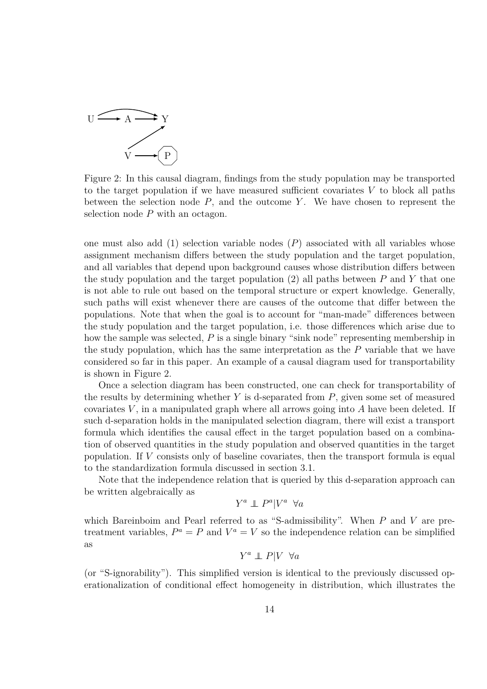

Figure 2: In this causal diagram, findings from the study population may be transported to the target population if we have measured sufficient covariates *V* to block all paths between the selection node  $P$ , and the outcome  $Y$ . We have chosen to represent the selection node *P* with an octagon.

one must also add (1) selection variable nodes (*P*) associated with all variables whose assignment mechanism differs between the study population and the target population, and all variables that depend upon background causes whose distribution differs between the study population and the target population (2) all paths between *P* and *Y* that one is not able to rule out based on the temporal structure or expert knowledge. Generally, such paths will exist whenever there are causes of the outcome that differ between the populations. Note that when the goal is to account for "man-made" differences between the study population and the target population, i.e. those differences which arise due to how the sample was selected, *P* is a single binary "sink node" representing membership in the study population, which has the same interpretation as the *P* variable that we have considered so far in this paper. An example of a causal diagram used for transportability is shown in Figure 2.

Once a selection diagram has been constructed, one can check for transportability of the results by determining whether *Y* is d-separated from *P*, given some set of measured covariates *V* , in a manipulated graph where all arrows going into *A* have been deleted. If such d-separation holds in the manipulated selection diagram, there will exist a transport formula which identifies the causal effect in the target population based on a combination of observed quantities in the study population and observed quantities in the target population. If *V* consists only of baseline covariates, then the transport formula is equal to the standardization formula discussed in section 3.1.

Note that the independence relation that is queried by this d-separation approach can be written algebraically as

$$
Y^a \perp\!\!\!\perp P^a | V^a \ \forall a
$$

which Bareinboim and Pearl referred to as "S-admissibility". When *P* and *V* are pretreatment variables,  $P^a = P$  and  $V^a = V$  so the independence relation can be simplified as

$$
Y^a \perp\!\!\!\perp P|V \ \forall a
$$

(or "S-ignorability"). This simplified version is identical to the previously discussed operationalization of conditional effect homogeneity in distribution, which illustrates the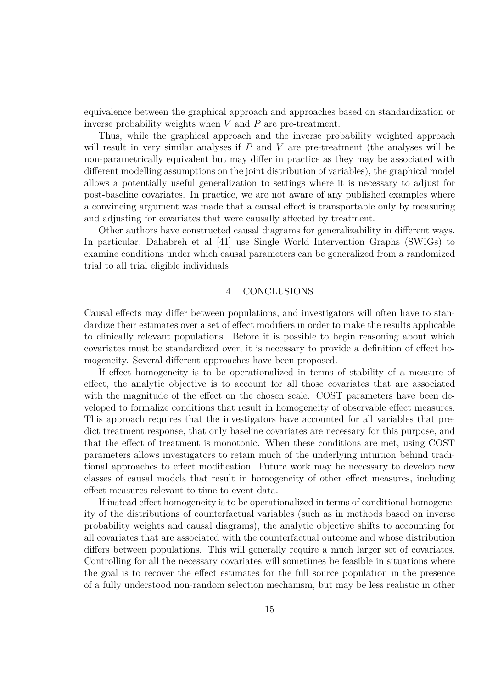equivalence between the graphical approach and approaches based on standardization or inverse probability weights when *V* and *P* are pre-treatment.

Thus, while the graphical approach and the inverse probability weighted approach will result in very similar analyses if *P* and *V* are pre-treatment (the analyses will be non-parametrically equivalent but may differ in practice as they may be associated with different modelling assumptions on the joint distribution of variables), the graphical model allows a potentially useful generalization to settings where it is necessary to adjust for post-baseline covariates. In practice, we are not aware of any published examples where a convincing argument was made that a causal effect is transportable only by measuring and adjusting for covariates that were causally affected by treatment.

Other authors have constructed causal diagrams for generalizability in different ways. In particular, Dahabreh et al [41] use Single World Intervention Graphs (SWIGs) to examine conditions under which causal parameters can be generalized from a randomized trial to all trial eligible individuals.

#### 4. CONCLUSIONS

Causal effects may differ between populations, and investigators will often have to standardize their estimates over a set of effect modifiers in order to make the results applicable to clinically relevant populations. Before it is possible to begin reasoning about which covariates must be standardized over, it is necessary to provide a definition of effect homogeneity. Several different approaches have been proposed.

If effect homogeneity is to be operationalized in terms of stability of a measure of effect, the analytic objective is to account for all those covariates that are associated with the magnitude of the effect on the chosen scale. COST parameters have been developed to formalize conditions that result in homogeneity of observable effect measures. This approach requires that the investigators have accounted for all variables that predict treatment response, that only baseline covariates are necessary for this purpose, and that the effect of treatment is monotonic. When these conditions are met, using COST parameters allows investigators to retain much of the underlying intuition behind traditional approaches to effect modification. Future work may be necessary to develop new classes of causal models that result in homogeneity of other effect measures, including effect measures relevant to time-to-event data.

If instead effect homogeneity is to be operationalized in terms of conditional homogeneity of the distributions of counterfactual variables (such as in methods based on inverse probability weights and causal diagrams), the analytic objective shifts to accounting for all covariates that are associated with the counterfactual outcome and whose distribution differs between populations. This will generally require a much larger set of covariates. Controlling for all the necessary covariates will sometimes be feasible in situations where the goal is to recover the effect estimates for the full source population in the presence of a fully understood non-random selection mechanism, but may be less realistic in other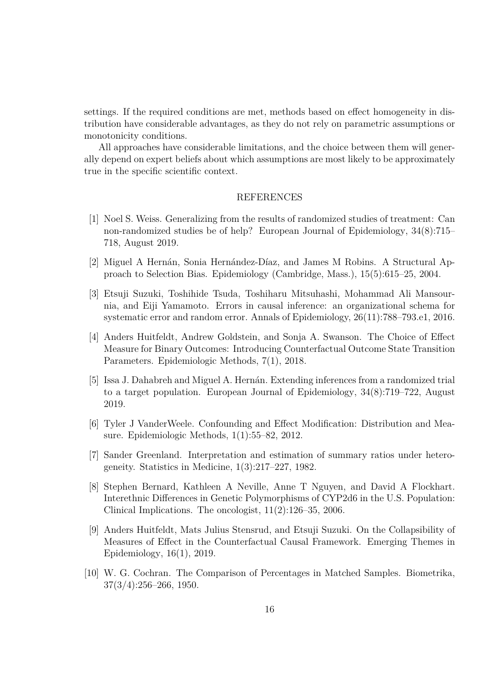settings. If the required conditions are met, methods based on effect homogeneity in distribution have considerable advantages, as they do not rely on parametric assumptions or monotonicity conditions.

All approaches have considerable limitations, and the choice between them will generally depend on expert beliefs about which assumptions are most likely to be approximately true in the specific scientific context.

#### **REFERENCES**

- [1] Noel S. Weiss. Generalizing from the results of randomized studies of treatment: Can non-randomized studies be of help? European Journal of Epidemiology, 34(8):715– 718, August 2019.
- [2] Miguel A Hernán, Sonia Hernández-Díaz, and James M Robins. A Structural Approach to Selection Bias. Epidemiology (Cambridge, Mass.), 15(5):615–25, 2004.
- [3] Etsuji Suzuki, Toshihide Tsuda, Toshiharu Mitsuhashi, Mohammad Ali Mansournia, and Eiji Yamamoto. Errors in causal inference: an organizational schema for systematic error and random error. Annals of Epidemiology, 26(11):788–793.e1, 2016.
- [4] Anders Huitfeldt, Andrew Goldstein, and Sonja A. Swanson. The Choice of Effect Measure for Binary Outcomes: Introducing Counterfactual Outcome State Transition Parameters. Epidemiologic Methods, 7(1), 2018.
- [5] Issa J. Dahabreh and Miguel A. Hernán. Extending inferences from a randomized trial to a target population. European Journal of Epidemiology, 34(8):719–722, August 2019.
- [6] Tyler J VanderWeele. Confounding and Effect Modification: Distribution and Measure. Epidemiologic Methods, 1(1):55–82, 2012.
- [7] Sander Greenland. Interpretation and estimation of summary ratios under heterogeneity. Statistics in Medicine, 1(3):217–227, 1982.
- [8] Stephen Bernard, Kathleen A Neville, Anne T Nguyen, and David A Flockhart. Interethnic Differences in Genetic Polymorphisms of CYP2d6 in the U.S. Population: Clinical Implications. The oncologist, 11(2):126–35, 2006.
- [9] Anders Huitfeldt, Mats Julius Stensrud, and Etsuji Suzuki. On the Collapsibility of Measures of Effect in the Counterfactual Causal Framework. Emerging Themes in Epidemiology, 16(1), 2019.
- [10] W. G. Cochran. The Comparison of Percentages in Matched Samples. Biometrika, 37(3/4):256–266, 1950.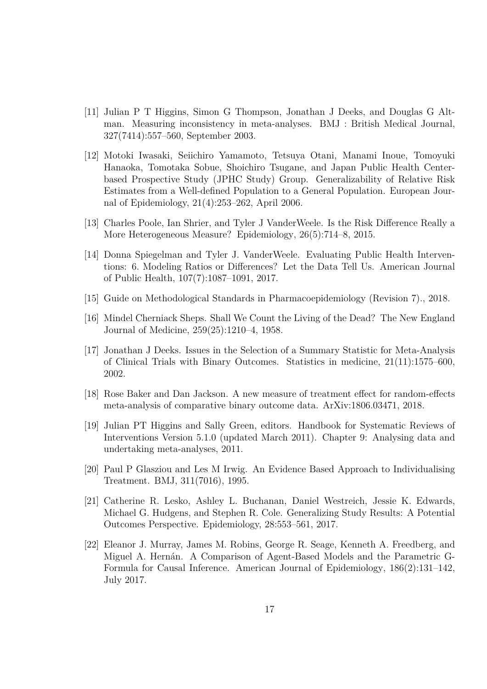- [11] Julian P T Higgins, Simon G Thompson, Jonathan J Deeks, and Douglas G Altman. Measuring inconsistency in meta-analyses. BMJ : British Medical Journal, 327(7414):557–560, September 2003.
- [12] Motoki Iwasaki, Seiichiro Yamamoto, Tetsuya Otani, Manami Inoue, Tomoyuki Hanaoka, Tomotaka Sobue, Shoichiro Tsugane, and Japan Public Health Centerbased Prospective Study (JPHC Study) Group. Generalizability of Relative Risk Estimates from a Well-defined Population to a General Population. European Journal of Epidemiology, 21(4):253–262, April 2006.
- [13] Charles Poole, Ian Shrier, and Tyler J VanderWeele. Is the Risk Difference Really a More Heterogeneous Measure? Epidemiology, 26(5):714–8, 2015.
- [14] Donna Spiegelman and Tyler J. VanderWeele. Evaluating Public Health Interventions: 6. Modeling Ratios or Differences? Let the Data Tell Us. American Journal of Public Health, 107(7):1087–1091, 2017.
- [15] Guide on Methodological Standards in Pharmacoepidemiology (Revision 7)., 2018.
- [16] Mindel Cherniack Sheps. Shall We Count the Living of the Dead? The New England Journal of Medicine, 259(25):1210–4, 1958.
- [17] Jonathan J Deeks. Issues in the Selection of a Summary Statistic for Meta-Analysis of Clinical Trials with Binary Outcomes. Statistics in medicine, 21(11):1575–600, 2002.
- [18] Rose Baker and Dan Jackson. A new measure of treatment effect for random-effects meta-analysis of comparative binary outcome data. ArXiv:1806.03471, 2018.
- [19] Julian PT Higgins and Sally Green, editors. Handbook for Systematic Reviews of Interventions Version 5.1.0 (updated March 2011). Chapter 9: Analysing data and undertaking meta-analyses, 2011.
- [20] Paul P Glasziou and Les M Irwig. An Evidence Based Approach to Individualising Treatment. BMJ, 311(7016), 1995.
- [21] Catherine R. Lesko, Ashley L. Buchanan, Daniel Westreich, Jessie K. Edwards, Michael G. Hudgens, and Stephen R. Cole. Generalizing Study Results: A Potential Outcomes Perspective. Epidemiology, 28:553–561, 2017.
- [22] Eleanor J. Murray, James M. Robins, George R. Seage, Kenneth A. Freedberg, and Miguel A. Hernán. A Comparison of Agent-Based Models and the Parametric G-Formula for Causal Inference. American Journal of Epidemiology, 186(2):131–142, July 2017.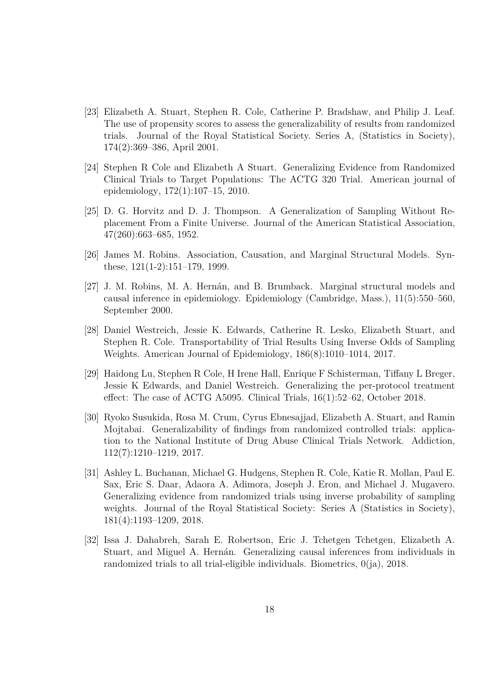- [23] Elizabeth A. Stuart, Stephen R. Cole, Catherine P. Bradshaw, and Philip J. Leaf. The use of propensity scores to assess the generalizability of results from randomized trials. Journal of the Royal Statistical Society. Series A, (Statistics in Society), 174(2):369–386, April 2001.
- [24] Stephen R Cole and Elizabeth A Stuart. Generalizing Evidence from Randomized Clinical Trials to Target Populations: The ACTG 320 Trial. American journal of epidemiology, 172(1):107–15, 2010.
- [25] D. G. Horvitz and D. J. Thompson. A Generalization of Sampling Without Replacement From a Finite Universe. Journal of the American Statistical Association, 47(260):663–685, 1952.
- [26] James M. Robins. Association, Causation, and Marginal Structural Models. Synthese, 121(1-2):151–179, 1999.
- [27] J. M. Robins, M. A. Hernán, and B. Brumback. Marginal structural models and causal inference in epidemiology. Epidemiology (Cambridge, Mass.), 11(5):550–560, September 2000.
- [28] Daniel Westreich, Jessie K. Edwards, Catherine R. Lesko, Elizabeth Stuart, and Stephen R. Cole. Transportability of Trial Results Using Inverse Odds of Sampling Weights. American Journal of Epidemiology, 186(8):1010–1014, 2017.
- [29] Haidong Lu, Stephen R Cole, H Irene Hall, Enrique F Schisterman, Tiffany L Breger, Jessie K Edwards, and Daniel Westreich. Generalizing the per-protocol treatment effect: The case of ACTG A5095. Clinical Trials, 16(1):52–62, October 2018.
- [30] Ryoko Susukida, Rosa M. Crum, Cyrus Ebnesajjad, Elizabeth A. Stuart, and Ramin Mojtabai. Generalizability of findings from randomized controlled trials: application to the National Institute of Drug Abuse Clinical Trials Network. Addiction, 112(7):1210–1219, 2017.
- [31] Ashley L. Buchanan, Michael G. Hudgens, Stephen R. Cole, Katie R. Mollan, Paul E. Sax, Eric S. Daar, Adaora A. Adimora, Joseph J. Eron, and Michael J. Mugavero. Generalizing evidence from randomized trials using inverse probability of sampling weights. Journal of the Royal Statistical Society: Series A (Statistics in Society), 181(4):1193–1209, 2018.
- [32] Issa J. Dahabreh, Sarah E. Robertson, Eric J. Tchetgen Tchetgen, Elizabeth A. Stuart, and Miguel A. Hernán. Generalizing causal inferences from individuals in randomized trials to all trial-eligible individuals. Biometrics, 0(ja), 2018.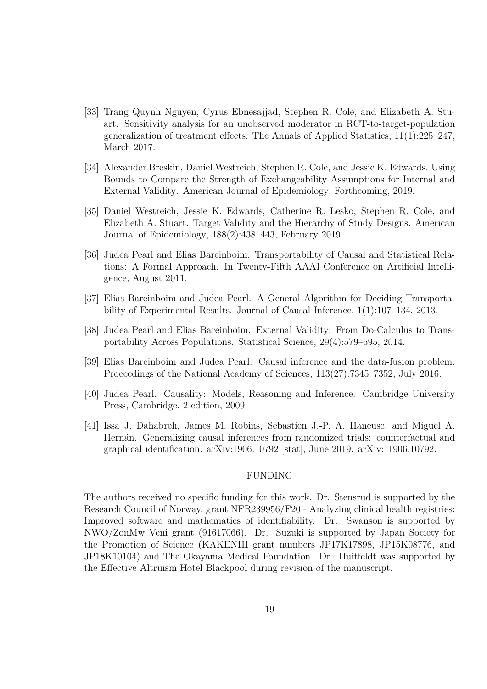- [33] Trang Quynh Nguyen, Cyrus Ebnesajjad, Stephen R. Cole, and Elizabeth A. Stuart. Sensitivity analysis for an unobserved moderator in RCT-to-target-population generalization of treatment effects. The Annals of Applied Statistics, 11(1):225–247, March 2017.
- [34] Alexander Breskin, Daniel Westreich, Stephen R. Cole, and Jessie K. Edwards. Using Bounds to Compare the Strength of Exchangeability Assumptions for Internal and External Validity. American Journal of Epidemiology, Forthcoming, 2019.
- [35] Daniel Westreich, Jessie K. Edwards, Catherine R. Lesko, Stephen R. Cole, and Elizabeth A. Stuart. Target Validity and the Hierarchy of Study Designs. American Journal of Epidemiology, 188(2):438–443, February 2019.
- [36] Judea Pearl and Elias Bareinboim. Transportability of Causal and Statistical Relations: A Formal Approach. In Twenty-Fifth AAAI Conference on Artificial Intelligence, August 2011.
- [37] Elias Bareinboim and Judea Pearl. A General Algorithm for Deciding Transportability of Experimental Results. Journal of Causal Inference, 1(1):107–134, 2013.
- [38] Judea Pearl and Elias Bareinboim. External Validity: From Do-Calculus to Transportability Across Populations. Statistical Science, 29(4):579–595, 2014.
- [39] Elias Bareinboim and Judea Pearl. Causal inference and the data-fusion problem. Proceedings of the National Academy of Sciences, 113(27):7345–7352, July 2016.
- [40] Judea Pearl. Causality: Models, Reasoning and Inference. Cambridge University Press, Cambridge, 2 edition, 2009.
- [41] Issa J. Dahabreh, James M. Robins, Sebastien J.-P. A. Haneuse, and Miguel A. Hernán. Generalizing causal inferences from randomized trials: counterfactual and graphical identification. arXiv:1906.10792 [stat], June 2019. arXiv: 1906.10792.

#### FUNDING

The authors received no specific funding for this work. Dr. Stensrud is supported by the Research Council of Norway, grant NFR239956/F20 - Analyzing clinical health registries: Improved software and mathematics of identifiability. Dr. Swanson is supported by NWO/ZonMw Veni grant (91617066). Dr. Suzuki is supported by Japan Society for the Promotion of Science (KAKENHI grant numbers JP17K17898, JP15K08776, and JP18K10104) and The Okayama Medical Foundation. Dr. Huitfeldt was supported by the Effective Altruism Hotel Blackpool during revision of the manuscript.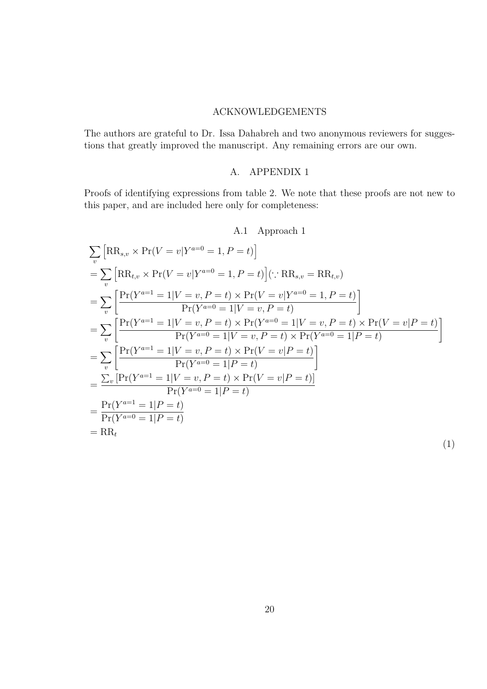# ACKNOWLEDGEMENTS

The authors are grateful to Dr. Issa Dahabreh and two anonymous reviewers for suggestions that greatly improved the manuscript. Any remaining errors are our own.

# A. APPENDIX 1

Proofs of identifying expressions from table 2. We note that these proofs are not new to this paper, and are included here only for completeness:

A.1 Approach 1  
\n
$$
\sum_{v} \left[RR_{s,v} \times \Pr(V=v|Y^{a=0}=1, P=t)\right]
$$
\n
$$
= \sum_{v} \left[RR_{t,v} \times \Pr(V=v|Y^{a=0}=1, P=t)\right] (\because RR_{s,v} = RR_{t,v})
$$
\n
$$
= \sum_{v} \left[ \frac{\Pr(Y^{a=1}=1|V=v, P=t) \times \Pr(V=v|Y^{a=0}=1, P=t)}{\Pr(Y^{a=0}=1|V=v, P=t)} \right]
$$
\n
$$
= \sum_{v} \left[ \frac{\Pr(Y^{a=1}=1|V=v, P=t) \times \Pr(Y^{a=0}=1|V=v, P=t) \times \Pr(V=v|P=t)}{\Pr(Y^{a=0}=1|V=v, P=t) \times \Pr(Y^{a=0}=1|P=t)} \right]
$$
\n
$$
= \sum_{v} \left[ \frac{\Pr(Y^{a=1}=1|V=v, P=t) \times \Pr(V=v|P=t)}{\Pr(Y^{a=0}=1|P=t)} \right]
$$
\n
$$
= \frac{\sum_{v} \left[ \Pr(Y^{a=1}=1|V=v, P=t) \times \Pr(V=v|P=t) \right]}{\Pr(Y^{a=0}=1|P=t)}
$$
\n
$$
= \frac{\Pr(Y^{a=1}=1|P=t)}{\Pr(Y^{a=0}=1|P=t)}} = RR_{t}
$$
\n(1)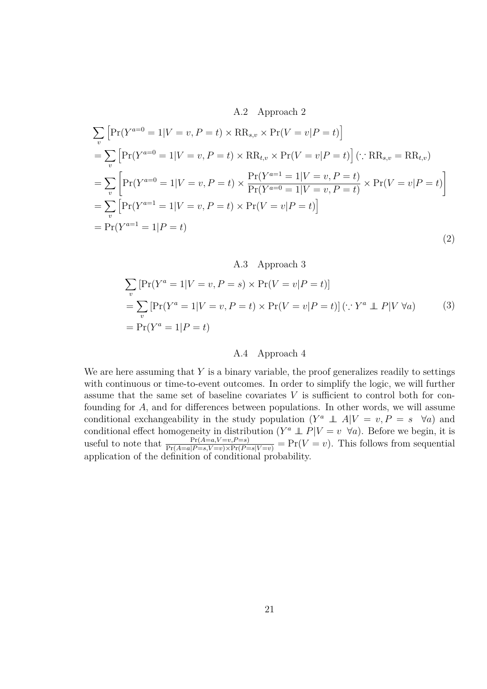A.2 Approach 2  
\n
$$
\sum_{v} \left[ \Pr(Y^{a=0} = 1 | V = v, P = t) \times \text{RR}_{s,v} \times \Pr(V = v | P = t) \right]
$$
\n
$$
= \sum_{v} \left[ \Pr(Y^{a=0} = 1 | V = v, P = t) \times \text{RR}_{t,v} \times \Pr(V = v | P = t) \right] (\because \text{RR}_{s,v} = \text{RR}_{t,v})
$$
\n
$$
= \sum_{v} \left[ \Pr(Y^{a=0} = 1 | V = v, P = t) \times \frac{\Pr(Y^{a=1} = 1 | V = v, P = t)}{\Pr(Y^{a=0} = 1 | V = v, P = t)} \times \Pr(V = v | P = t) \right]
$$
\n
$$
= \sum_{v} \left[ \Pr(Y^{a=1} = 1 | V = v, P = t) \times \Pr(V = v | P = t) \right]
$$
\n
$$
= \Pr(Y^{a=1} = 1 | P = t)
$$
\n(2)

#### A.3 Approach 3

$$
\sum_{v} \left[ \Pr(Y^{a} = 1 | V = v, P = s) \times \Pr(V = v | P = t) \right]
$$
  
= 
$$
\sum_{v} \left[ \Pr(Y^{a} = 1 | V = v, P = t) \times \Pr(V = v | P = t) \right] (\because Y^{a} \perp\!\!\!\perp P | V \forall a)
$$
 (3)  
= 
$$
\Pr(Y^{a} = 1 | P = t)
$$

# A.4 Approach 4

We are here assuming that *Y* is a binary variable, the proof generalizes readily to settings with continuous or time-to-event outcomes. In order to simplify the logic, we will further assume that the same set of baseline covariates *V* is sufficient to control both for confounding for *A*, and for differences between populations. In other words, we will assume conditional exchangeability in the study population  $(Y^a \perp A | V = v, P = s \ \forall a)$  and conditional effect homogeneity in distribution  $(Y^a \perp P | V = v \ \forall a)$ . Before we begin, it is useful to note that  $\frac{\Pr(A=a, V=v, P=s)}{\Pr(A=a|P=s, V=v) \times \Pr(P=s|V=v)} = \Pr(V=v)$ . This follows from sequential application of the definition of conditional probability.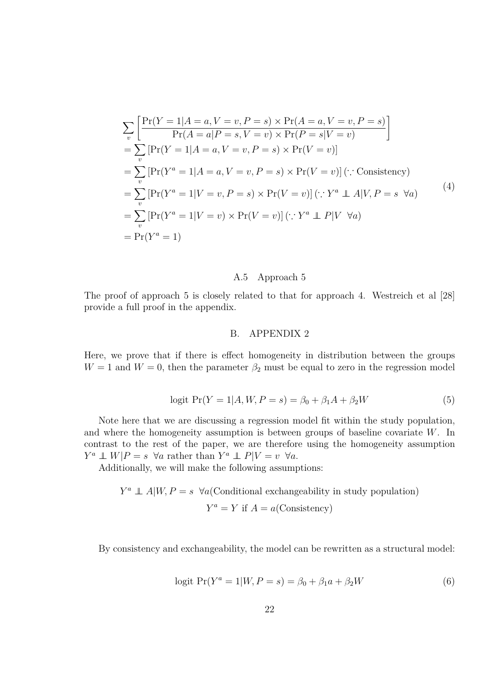$$
\sum_{v} \left[ \frac{\Pr(Y=1|A=a, V=v, P=s) \times \Pr(A=a, V=v, P=s)}{\Pr(A=a|P=s, V=v) \times \Pr(P=s|V=v)} \right]
$$
  
= 
$$
\sum_{v} \left[ \Pr(Y=1|A=a, V=v, P=s) \times \Pr(V=v) \right]
$$
  
= 
$$
\sum_{v} \left[ \Pr(Y^a=1|A=a, V=v, P=s) \times \Pr(V=v) \right] (\because \text{Consistency})
$$
  
= 
$$
\sum_{v} \left[ \Pr(Y^a=1|V=v, P=s) \times \Pr(V=v) \right] (\because Y^a \perp A|V, P=s \; \forall a)
$$
  
= 
$$
\sum_{v} \left[ \Pr(Y^a=1|V=v) \times \Pr(V=v) \right] (\because Y^a \perp P|V \; \forall a)
$$
  
= 
$$
\Pr(Y^a=1)
$$
 (1)

# A.5 Approach 5

The proof of approach 5 is closely related to that for approach 4. Westreich et al [28] provide a full proof in the appendix.

# B. APPENDIX 2

Here, we prove that if there is effect homogeneity in distribution between the groups  $W = 1$  and  $W = 0$ , then the parameter  $\beta_2$  must be equal to zero in the regression model

$$
logit \Pr(Y = 1 | A, W, P = s) = \beta_0 + \beta_1 A + \beta_2 W \tag{5}
$$

Note here that we are discussing a regression model fit within the study population, and where the homogeneity assumption is between groups of baseline covariate *W*. In contrast to the rest of the paper, we are therefore using the homogeneity assumption  $Y^a \perp W$ |*P* = *s*  $\forall a$  rather than  $Y^a \perp P$ |*V* = *v*  $\forall a$ .

Additionally, we will make the following assumptions:

$$
Y^{a} \perp A | W, P = s \ \forall a \text{(Conditional exchangeability in study population)}
$$

$$
Y^{a} = Y \text{ if } A = a \text{(Consistency)}
$$

By consistency and exchangeability, the model can be rewritten as a structural model:

$$
logit \Pr(Y^a = 1 | W, P = s) = \beta_0 + \beta_1 a + \beta_2 W \tag{6}
$$